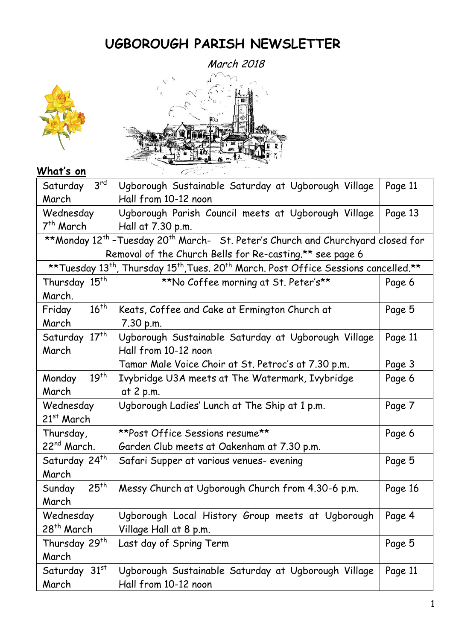# **UGBOROUGH PARISH NEWSLETTER**



# **What's on**

| $3^{\text{rd}}$<br>Saturday                                                                                               | Ugborough Sustainable Saturday at Ugborough Village | Page 11 |  |
|---------------------------------------------------------------------------------------------------------------------------|-----------------------------------------------------|---------|--|
| March                                                                                                                     | Hall from 10-12 noon                                |         |  |
| Wednesday                                                                                                                 | Ugborough Parish Council meets at Ugborough Village | Page 13 |  |
| 7th March                                                                                                                 | Hall at 7.30 p.m.                                   |         |  |
| **Monday 12 <sup>th</sup> -Tuesday 20 <sup>th</sup> March- St. Peter's Church and Churchyard closed for                   |                                                     |         |  |
| Removal of the Church Bells for Re-casting.** see page 6                                                                  |                                                     |         |  |
| ** Tuesday 13 <sup>th</sup> , Thursday 15 <sup>th</sup> , Tues. 20 <sup>th</sup> March. Post Office Sessions cancelled.** |                                                     |         |  |
| Thursday 15 <sup>th</sup>                                                                                                 | **No Coffee morning at St. Peter's**                | Page 6  |  |
| March.                                                                                                                    |                                                     |         |  |
| $16^{th}$<br>Friday                                                                                                       | Keats, Coffee and Cake at Ermington Church at       | Page 5  |  |
| March                                                                                                                     | 7.30 p.m.                                           |         |  |
| Saturday 17 <sup>th</sup>                                                                                                 | Ugborough Sustainable Saturday at Ugborough Village | Page 11 |  |
| March                                                                                                                     | Hall from 10-12 noon                                |         |  |
|                                                                                                                           | Tamar Male Voice Choir at St. Petroc's at 7.30 p.m. | Page 3  |  |
| 19 <sup>th</sup><br>Monday                                                                                                | Ivybridge U3A meets at The Watermark, Ivybridge     | Page 6  |  |
| March                                                                                                                     | at 2 p.m.                                           |         |  |
| Wednesday                                                                                                                 | Ugborough Ladies' Lunch at The Ship at 1 p.m.       | Page 7  |  |
| $21st$ March                                                                                                              |                                                     |         |  |
| Thursday,                                                                                                                 | **Post Office Sessions resume**                     | Page 6  |  |
| 22 <sup>nd</sup> March.                                                                                                   | Garden Club meets at Oakenham at 7.30 p.m.          |         |  |
| Saturday 24 <sup>th</sup>                                                                                                 | Safari Supper at various venues- evening            | Page 5  |  |
| March                                                                                                                     |                                                     |         |  |
| 25 <sup>th</sup><br>Sunday                                                                                                | Messy Church at Ugborough Church from 4.30-6 p.m.   | Page 16 |  |
| March                                                                                                                     |                                                     |         |  |
| Wednesday                                                                                                                 | Ugborough Local History Group meets at Ugborough    | Page 4  |  |
| 28 <sup>th</sup> March                                                                                                    | Village Hall at 8 p.m.                              |         |  |
| Thursday 29 <sup>th</sup>                                                                                                 | Last day of Spring Term                             | Page 5  |  |
| March                                                                                                                     |                                                     |         |  |
| Saturday 31st                                                                                                             | Ugborough Sustainable Saturday at Ugborough Village | Page 11 |  |
| March                                                                                                                     | Hall from 10-12 noon                                |         |  |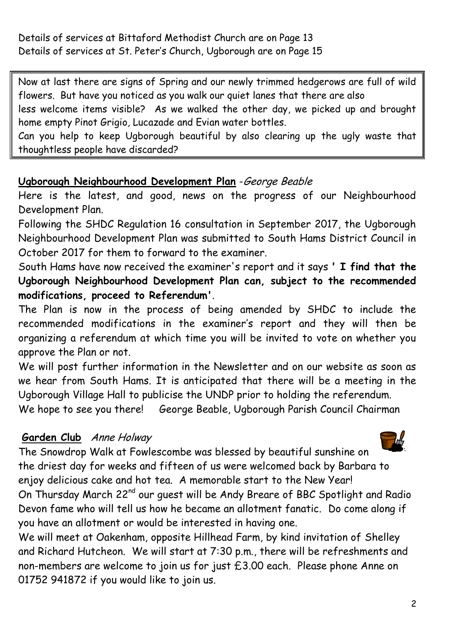Details of services at Bittaford Methodist Church are on Page 13 Details of services at St. Peter's Church, Ugborough are on Page 15

Now at last there are signs of Spring and our newly trimmed hedgerows are full of wild flowers. But have you noticed as you walk our quiet lanes that there are also less welcome items visible? As we walked the other day, we picked up and brought home empty Pinot Grigio, Lucazade and Evian water bottles.

Can you help to keep Ugborough beautiful by also clearing up the ugly waste that thoughtless people have discarded?

### **Ugborough Neighbourhood Development Plan** -George Beable

Here is the latest, and good, news on the progress of our Neighbourhood Development Plan.

Following the SHDC Regulation 16 consultation in September 2017, the Ugborough Neighbourhood Development Plan was submitted to South Hams District Council in October 2017 for them to forward to the examiner.

South Hams have now received the examiner's report and it says **' I find that the Ugborough Neighbourhood Development Plan can, subject to the recommended modifications, proceed to Referendum'**.

The Plan is now in the process of being amended by SHDC to include the recommended modifications in the examiner's report and they will then be organizing a referendum at which time you will be invited to vote on whether you approve the Plan or not.

We will post further information in the Newsletter and on our website as soon as we hear from South Hams. It is anticipated that there will be a meeting in the Ugborough Village Hall to publicise the UNDP prior to holding the referendum.

We hope to see you there! George Beable, Ugborough Parish Council Chairman

# **Garden Club** Anne Holway



The Snowdrop Walk at Fowlescombe was blessed by beautiful sunshine on the driest day for weeks and fifteen of us were welcomed back by Barbara to enjoy delicious cake and hot tea. A memorable start to the New Year! On Thursday March 22<sup>nd</sup> our quest will be Andy Breare of BBC Spotlight and Radio Devon fame who will tell us how he became an allotment fanatic. Do come along if

you have an allotment or would be interested in having one.

We will meet at Oakenham, opposite Hillhead Farm, by kind invitation of Shelley and Richard Hutcheon. We will start at 7:30 p.m., there will be refreshments and non-members are welcome to join us for just £3.00 each. Please phone Anne on 01752 941872 if you would like to join us.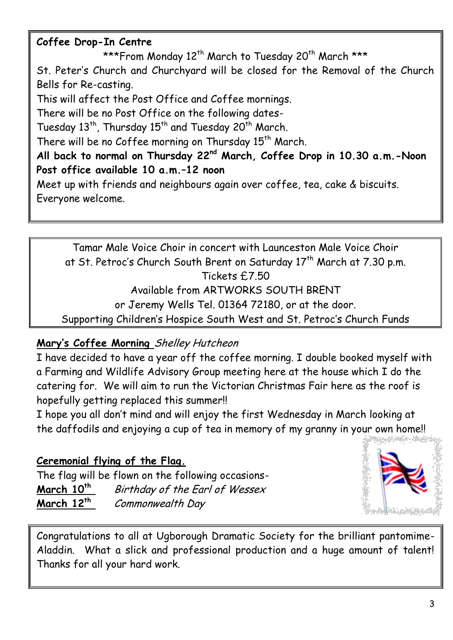# **Coffee Drop-In Centre**

\*\*\*From Monday 12<sup>th</sup> March to Tuesday 20<sup>th</sup> March \*\*\*

St. Peter's Church and Churchyard will be closed for the Removal of the Church Bells for Re-casting.

This will affect the Post Office and Coffee mornings.

There will be no Post Office on the following dates-

Tuesday  $13^{th}$ , Thursday  $15^{th}$  and Tuesday  $20^{th}$  March.

There will be no Coffee morning on Thursday  $15<sup>th</sup>$  March.

**All back to normal on Thursday 22nd March, Coffee Drop in 10.30 a.m.-Noon Post office available 10 a.m.–12 noon**

Meet up with friends and neighbours again over coffee, tea, cake & biscuits. Everyone welcome.

Tamar Male Voice Choir in concert with Launceston Male Voice Choir at St. Petroc's Church South Brent on Saturday 17<sup>th</sup> March at 7.30 p.m. Tickets £7.50 Available from ARTWORKS SOUTH BRENT or Jeremy Wells Tel. 01364 72180, or at the door. Supporting Children's Hospice South West and St. Petroc's Church Funds

# **Mary's Coffee Morning** Shelley Hutcheon

I have decided to have a year off the coffee morning. I double booked myself with a Farming and Wildlife Advisory Group meeting here at the house which I do the catering for. We will aim to run the Victorian Christmas Fair here as the roof is hopefully getting replaced this summer!!

I hope you all don't mind and will enjoy the first Wednesday in March looking at the daffodils and enjoying a cup of tea in memory of my granny in your own home!!

**Ceremonial flying of the Flag.**  The flag will be flown on the following occasions-**March 10th** Birthday of the Earl of Wessex **March 12th** Commonwealth Day



Congratulations to all at Ugborough Dramatic Society for the brilliant pantomime-Aladdin. What a slick and professional production and a huge amount of talent! Thanks for all your hard work.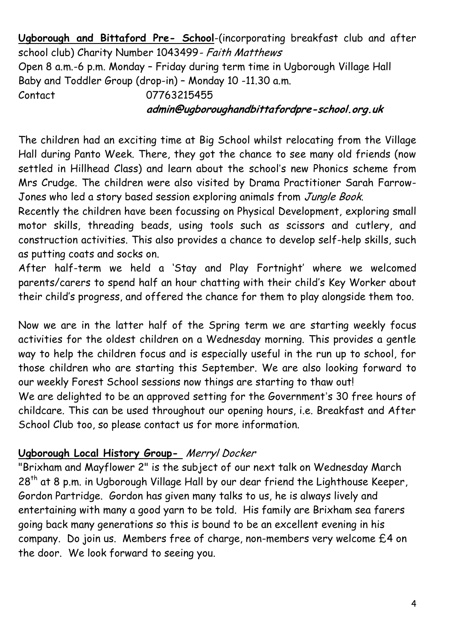**Ugborough and Bittaford Pre- School**-(incorporating breakfast club and after school club) Charity Number 1043499- Faith Matthews Open 8 a.m.-6 p.m. Monday – Friday during term time in Ugborough Village Hall Baby and Toddler Group (drop-in) – Monday 10 -11.30 a.m. Contact 07763215455

### **admin@ugboroughandbittafordpre-school.org.uk**

The children had an exciting time at Big School whilst relocating from the Village Hall during Panto Week. There, they got the chance to see many old friends (now settled in Hillhead Class) and learn about the school's new Phonics scheme from Mrs Crudge. The children were also visited by Drama Practitioner Sarah Farrow-Jones who led a story based session exploring animals from Jungle Book.

Recently the children have been focussing on Physical Development, exploring small motor skills, threading beads, using tools such as scissors and cutlery, and construction activities. This also provides a chance to develop self-help skills, such as putting coats and socks on.

After half-term we held a 'Stay and Play Fortnight' where we welcomed parents/carers to spend half an hour chatting with their child's Key Worker about their child's progress, and offered the chance for them to play alongside them too.

Now we are in the latter half of the Spring term we are starting weekly focus activities for the oldest children on a Wednesday morning. This provides a gentle way to help the children focus and is especially useful in the run up to school, for those children who are starting this September. We are also looking forward to our weekly Forest School sessions now things are starting to thaw out!

We are delighted to be an approved setting for the Government's 30 free hours of childcare. This can be used throughout our opening hours, i.e. Breakfast and After School Club too, so please contact us for more information.

# **Ugborough Local History Group-** Merryl Docker

"Brixham and Mayflower 2" is the subject of our next talk on Wednesday March 28<sup>th</sup> at 8 p.m. in Ugborough Village Hall by our dear friend the Lighthouse Keeper, Gordon Partridge. Gordon has given many talks to us, he is always lively and entertaining with many a good yarn to be told. His family are Brixham sea farers going back many generations so this is bound to be an excellent evening in his company. Do join us. Members free of charge, non-members very welcome £4 on the door. We look forward to seeing you.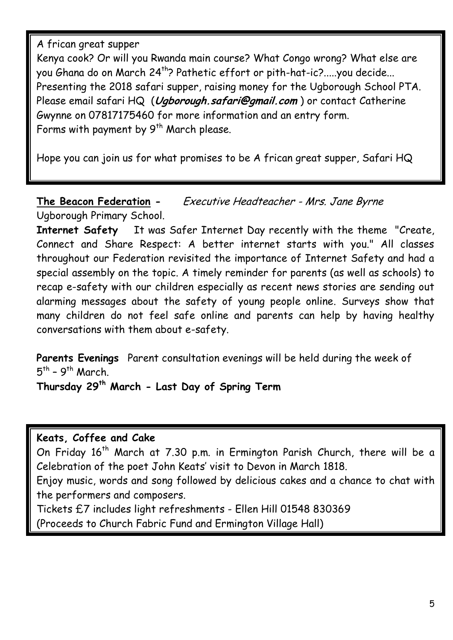A frican great supper

Kenya cook? Or will you Rwanda main course? What Congo wrong? What else are you Ghana do on March 24<sup>th</sup>? Pathetic effort or pith-hat-ic?.....you decide... Presenting the 2018 safari supper, raising money for the Ugborough School PTA. Please email safari HQ (**[Ugborough.safari@gmail.com](mailto:Ugborough.safari@gmail.com)** ) or contact Catherine Gwynne on 07817175460 for more information and an entry form. Forms with payment by  $9^{th}$  March please.

Hope you can join us for what promises to be A frican great supper, Safari HQ

**The Beacon Federation -** Executive Headteacher - Mrs. Jane Byrne Ugborough Primary School.

**Internet Safety** It was Safer Internet Day recently with the theme "Create, Connect and Share Respect: A better internet starts with you." All classes throughout our Federation revisited the importance of Internet Safety and had a special assembly on the topic. A timely reminder for parents (as well as schools) to recap e-safety with our children especially as recent news stories are sending out alarming messages about the safety of young people online. Surveys show that many children do not feel safe online and parents can help by having healthy conversations with them about e-safety.

**Parents Evenings** Parent consultation evenings will be held during the week of 5<sup>th</sup> - 9<sup>th</sup> March.

**Thursday 29th March - Last Day of Spring Term**

### **Keats, Coffee and Cake**

On Friday 16<sup>th</sup> March at 7.30 p.m. in Ermington Parish Church, there will be a Celebration of the poet John Keats' visit to Devon in March 1818.

Enjoy music, words and song followed by delicious cakes and a chance to chat with the performers and composers.

Tickets £7 includes light refreshments - Ellen Hill 01548 830369 (Proceeds to Church Fabric Fund and Ermington Village Hall)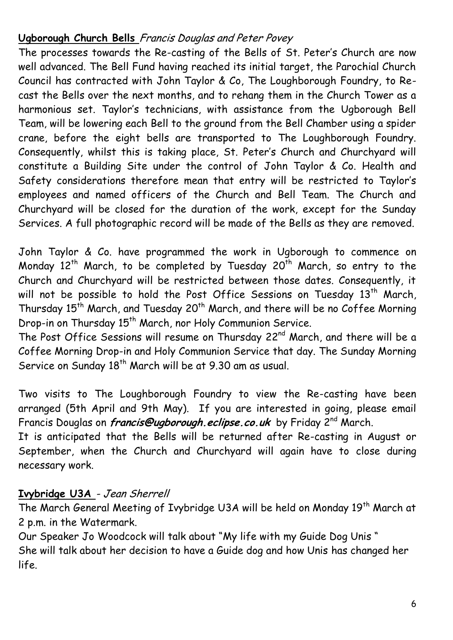### **Ugborough Church Bells** Francis Douglas and Peter Povey

The processes towards the Re-casting of the Bells of St. Peter's Church are now well advanced. The Bell Fund having reached its initial target, the Parochial Church Council has contracted with John Taylor & Co, The Loughborough Foundry, to Recast the Bells over the next months, and to rehang them in the Church Tower as a harmonious set. Taylor's technicians, with assistance from the Ugborough Bell Team, will be lowering each Bell to the ground from the Bell Chamber using a spider crane, before the eight bells are transported to The Loughborough Foundry. Consequently, whilst this is taking place, St. Peter's Church and Churchyard will constitute a Building Site under the control of John Taylor & Co. Health and Safety considerations therefore mean that entry will be restricted to Taylor's employees and named officers of the Church and Bell Team. The Church and Churchyard will be closed for the duration of the work, except for the Sunday Services. A full photographic record will be made of the Bells as they are removed.

John Taylor & Co. have programmed the work in Ugborough to commence on Monday 12<sup>th</sup> March, to be completed by Tuesday 20<sup>th</sup> March, so entry to the Church and Churchyard will be restricted between those dates. Consequently, it will not be possible to hold the Post Office Sessions on Tuesday  $13^{th}$  March, Thursday 15<sup>th</sup> March, and Tuesday 20<sup>th</sup> March, and there will be no Coffee Morning Drop-in on Thursday 15<sup>th</sup> March, nor Holy Communion Service.

The Post Office Sessions will resume on Thursday 22<sup>nd</sup> March, and there will be a Coffee Morning Drop-in and Holy Communion Service that day. The Sunday Morning Service on Sunday 18<sup>th</sup> March will be at 9.30 am as usual.

Two visits to The Loughborough Foundry to view the Re-casting have been arranged (5th April and 9th May). If you are interested in going, please email Francis Douglas on **[francis@ugborough.eclipse.co.uk](mailto:francis@ugborough.eclipse.co.uk)** by Friday 2nd March.

It is anticipated that the Bells will be returned after Re-casting in August or September, when the Church and Churchyard will again have to close during necessary work.

# **Ivybridge U3A** - Jean Sherrell

The March General Meeting of Ivybridge U3A will be held on Monday 19<sup>th</sup> March at 2 p.m. in the Watermark.

Our Speaker Jo Woodcock will talk about "My life with my Guide Dog Unis " She will talk about her decision to have a Guide dog and how Unis has changed her life.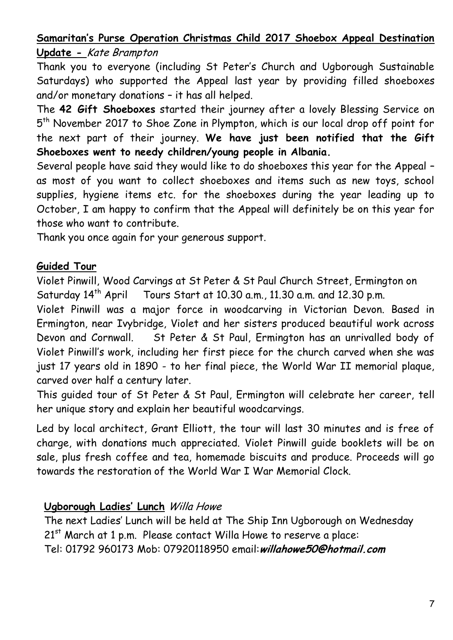# **Samaritan's Purse Operation Christmas Child 2017 Shoebox Appeal Destination Update -** Kate Brampton

Thank you to everyone (including St Peter's Church and Ugborough Sustainable Saturdays) who supported the Appeal last year by providing filled shoeboxes and/or monetary donations – it has all helped.

The **42 Gift Shoeboxes** started their journey after a lovely Blessing Service on 5 th November 2017 to Shoe Zone in Plympton, which is our local drop off point for the next part of their journey. **We have just been notified that the Gift Shoeboxes went to needy children/young people in Albania.**

Several people have said they would like to do shoeboxes this year for the Appeal – as most of you want to collect shoeboxes and items such as new toys, school supplies, hygiene items etc. for the shoeboxes during the year leading up to October, I am happy to confirm that the Appeal will definitely be on this year for those who want to contribute.

Thank you once again for your generous support.

### **Guided Tour**

Violet Pinwill, Wood Carvings at St Peter & St Paul Church Street, Ermington on Saturday 14<sup>th</sup> April Tours Start at 10.30 a.m., 11.30 a.m. and 12.30 p.m.

Violet Pinwill was a major force in woodcarving in Victorian Devon. Based in Ermington, near Ivybridge, Violet and her sisters produced beautiful work across Devon and Cornwall. St Peter & St Paul, Ermington has an unrivalled body of Violet Pinwill's work, including her first piece for the church carved when she was just 17 years old in 1890 - to her final piece, the World War II memorial plaque, carved over half a century later.

This guided tour of St Peter & St Paul, Ermington will celebrate her career, tell her unique story and explain her beautiful woodcarvings.

Led by local architect, Grant Elliott, the tour will last 30 minutes and is free of charge, with donations much appreciated. Violet Pinwill guide booklets will be on sale, plus fresh coffee and tea, homemade biscuits and produce. Proceeds will go towards the restoration of the World War I War Memorial Clock.

### **Ugborough Ladies' Lunch** Willa Howe

The next Ladies' Lunch will be held at The Ship Inn Ugborough on Wednesday 21<sup>st</sup> March at 1 p.m. Please contact Willa Howe to reserve a place: Tel: 01792 960173 Mob: 07920118950 email:**willahowe50@hotmail.com**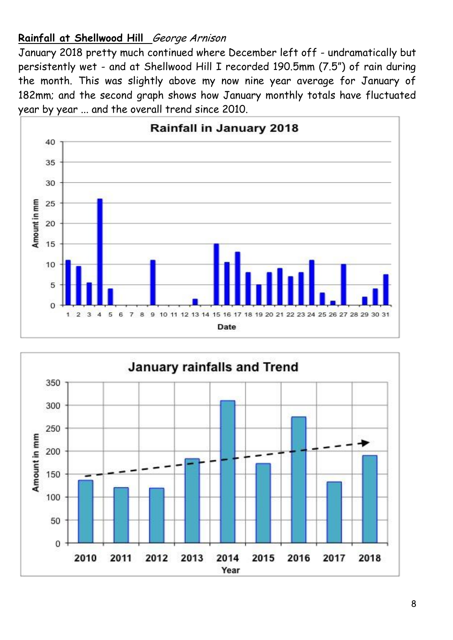# **Rainfall at Shellwood Hill** George Arnison

January 2018 pretty much continued where December left off - undramatically but persistently wet - and at Shellwood Hill I recorded 190.5mm (7.5") of rain during the month. This was slightly above my now nine year average for January of 182mm; and the second graph shows how January monthly totals have fluctuated year by year ... and the overall trend since 2010.



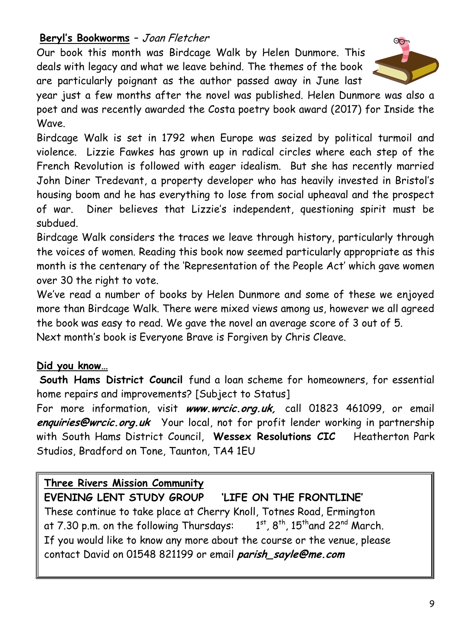# **Beryl's Bookworms** – Joan Fletcher

Our book this month was Birdcage Walk by Helen Dunmore. This deals with legacy and what we leave behind. The themes of the book are particularly poignant as the author passed away in June last

year just a few months after the novel was published. Helen Dunmore was also a poet and was recently awarded the Costa poetry book award (2017) for Inside the Wave.

Birdcage Walk is set in 1792 when Europe was seized by political turmoil and violence. Lizzie Fawkes has grown up in radical circles where each step of the French Revolution is followed with eager idealism. But she has recently married John Diner Tredevant, a property developer who has heavily invested in Bristol's housing boom and he has everything to lose from social upheaval and the prospect of war. Diner believes that Lizzie's independent, questioning spirit must be subdued.

Birdcage Walk considers the traces we leave through history, particularly through the voices of women. Reading this book now seemed particularly appropriate as this month is the centenary of the 'Representation of the People Act' which gave women over 30 the right to vote.

We've read a number of books by Helen Dunmore and some of these we enjoyed more than Birdcage Walk. There were mixed views among us, however we all agreed the book was easy to read. We gave the novel an average score of 3 out of 5. Next month's book is Everyone Brave is Forgiven by Chris Cleave.

# **Did you know…**

**South Hams District Council** fund a loan scheme for homeowners, for essential home repairs and improvements? [Subject to Status]

For more information, visit **www.wrcic.org.uk,** call 01823 461099, or email **enquiries@wrcic.org.uk** Your local, not for profit lender working in partnership with South Hams District Council, **Wessex Resolutions CIC** Heatherton Park Studios, Bradford on Tone, Taunton, TA4 1EU

# **Three Rivers Mission Community**

**EVENING LENT STUDY GROUP 'LIFE ON THE FRONTLINE'** These continue to take place at Cherry Knoll, Totnes Road, Ermington at 7.30 p.m. on the following Thursdays:  $^{\mathsf{st}}$ , 8<sup>th</sup>, 15<sup>th</sup>and 22<sup>nd</sup> March. If you would like to know any more about the course or the venue, please contact David on 01548 821199 or email **parish\_sayle@me.com**

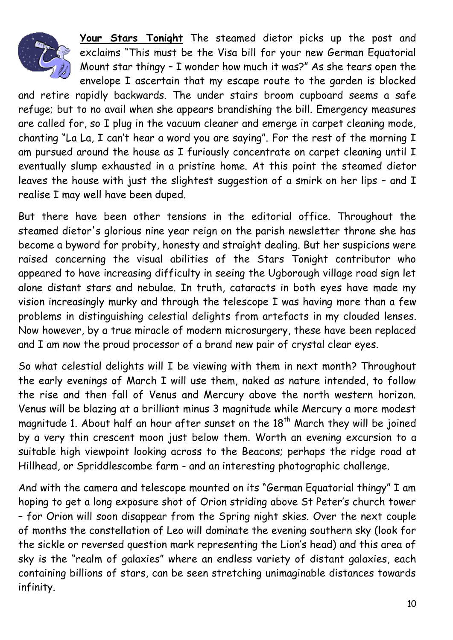

**Your Stars Tonight** The steamed dietor picks up the post and exclaims "This must be the Visa bill for your new German Equatorial Mount star thingy – I wonder how much it was?" As she tears open the envelope I ascertain that my escape route to the garden is blocked

and retire rapidly backwards. The under stairs broom cupboard seems a safe refuge; but to no avail when she appears brandishing the bill. Emergency measures are called for, so I plug in the vacuum cleaner and emerge in carpet cleaning mode, chanting "La La, I can't hear a word you are saying". For the rest of the morning I am pursued around the house as I furiously concentrate on carpet cleaning until I eventually slump exhausted in a pristine home. At this point the steamed dietor leaves the house with just the slightest suggestion of a smirk on her lips – and I realise I may well have been duped.

But there have been other tensions in the editorial office. Throughout the steamed dietor's glorious nine year reign on the parish newsletter throne she has become a byword for probity, honesty and straight dealing. But her suspicions were raised concerning the visual abilities of the Stars Tonight contributor who appeared to have increasing difficulty in seeing the Ugborough village road sign let alone distant stars and nebulae. In truth, cataracts in both eyes have made my vision increasingly murky and through the telescope I was having more than a few problems in distinguishing celestial delights from artefacts in my clouded lenses. Now however, by a true miracle of modern microsurgery, these have been replaced and I am now the proud processor of a brand new pair of crystal clear eyes.

So what celestial delights will I be viewing with them in next month? Throughout the early evenings of March I will use them, naked as nature intended, to follow the rise and then fall of Venus and Mercury above the north western horizon. Venus will be blazing at a brilliant minus 3 magnitude while Mercury a more modest magnitude 1. About half an hour after sunset on the 18<sup>th</sup> March they will be joined by a very thin crescent moon just below them. Worth an evening excursion to a suitable high viewpoint looking across to the Beacons; perhaps the ridge road at Hillhead, or Spriddlescombe farm - and an interesting photographic challenge.

And with the camera and telescope mounted on its "German Equatorial thingy" I am hoping to get a long exposure shot of Orion striding above St Peter's church tower – for Orion will soon disappear from the Spring night skies. Over the next couple of months the constellation of Leo will dominate the evening southern sky (look for the sickle or reversed question mark representing the Lion's head) and this area of sky is the "realm of galaxies" where an endless variety of distant galaxies, each containing billions of stars, can be seen stretching unimaginable distances towards infinity.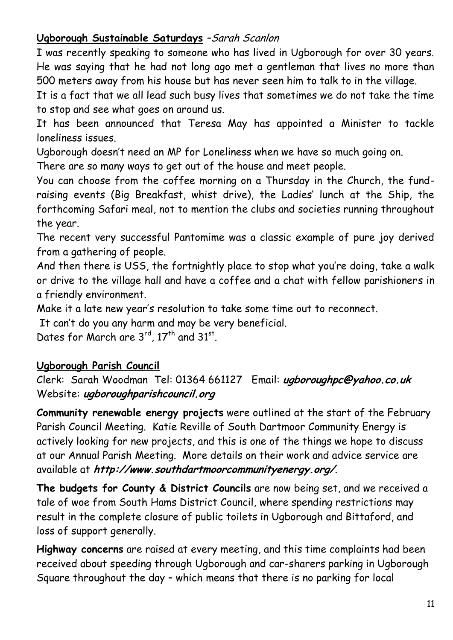# Ugborough Sustainable Saturdays -Sarah Scanlon

I was recently speaking to someone who has lived in Ugborough for over 30 years. He was saying that he had not long ago met a gentleman that lives no more than 500 meters away from his house but has never seen him to talk to in the village.

It is a fact that we all lead such busy lives that sometimes we do not take the time to stop and see what goes on around us.

It has been announced that Teresa May has appointed a Minister to tackle loneliness issues.

Ugborough doesn't need an MP for Loneliness when we have so much going on.

There are so many ways to get out of the house and meet people.

You can choose from the coffee morning on a Thursday in the Church, the fundraising events (Big Breakfast, whist drive), the Ladies' lunch at the Ship, the forthcoming Safari meal, not to mention the clubs and societies running throughout the year.

The recent very successful Pantomime was a classic example of pure joy derived from a gathering of people.

And then there is USS, the fortnightly place to stop what you're doing, take a walk or drive to the village hall and have a coffee and a chat with fellow parishioners in a friendly environment.

Make it a late new year's resolution to take some time out to reconnect.

It can't do you any harm and may be very beneficial.

Dates for March are  $3^{rd}$ , 17<sup>th</sup> and 31<sup>st</sup>.

# **Ugborough Parish Council**

Clerk: Sarah Woodman Tel: 01364 661127 Email: **ugboroughpc@yahoo.co.uk** Website: **ugboroughparishcouncil.org**

**Community renewable energy projects** were outlined at the start of the February Parish Council Meeting. Katie Reville of South Dartmoor Community Energy is actively looking for new projects, and this is one of the things we hope to discuss at our Annual Parish Meeting. More details on their work and advice service are available at **http://www.southdartmoorcommunityenergy.org/**.

**The budgets for County & District Councils** are now being set, and we received a tale of woe from South Hams District Council, where spending restrictions may result in the complete closure of public toilets in Ugborough and Bittaford, and loss of support generally.

**Highway concerns** are raised at every meeting, and this time complaints had been received about speeding through Ugborough and car-sharers parking in Ugborough Square throughout the day – which means that there is no parking for local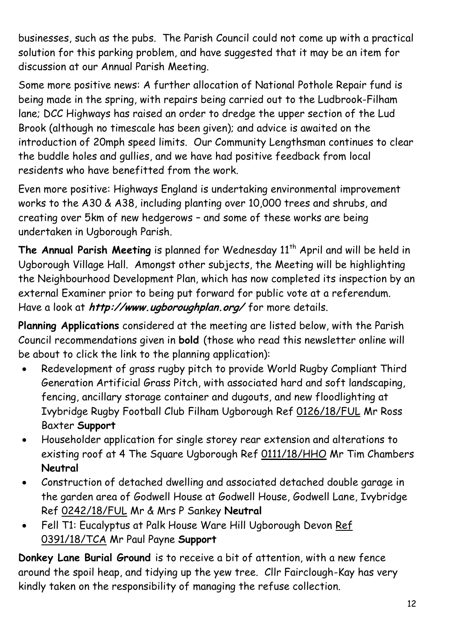businesses, such as the pubs. The Parish Council could not come up with a practical solution for this parking problem, and have suggested that it may be an item for discussion at our Annual Parish Meeting.

Some more positive news: A further allocation of National Pothole Repair fund is being made in the spring, with repairs being carried out to the Ludbrook-Filham lane; DCC Highways has raised an order to dredge the upper section of the Lud Brook (although no timescale has been given); and advice is awaited on the introduction of 20mph speed limits. Our Community Lengthsman continues to clear the buddle holes and gullies, and we have had positive feedback from local residents who have benefitted from the work.

Even more positive: Highways England is undertaking environmental improvement works to the A30 & A38, including planting over 10,000 trees and shrubs, and creating over 5km of new hedgerows – and some of these works are being undertaken in Ugborough Parish.

The Annual Parish Meeting is planned for Wednesday 11<sup>th</sup> April and will be held in Ugborough Village Hall. Amongst other subjects, the Meeting will be highlighting the Neighbourhood Development Plan, which has now completed its inspection by an external Examiner prior to being put forward for public vote at a referendum. Have a look at **http://www.ugboroughplan.org/** for more details.

**Planning Applications** considered at the meeting are listed below, with the Parish Council recommendations given in **bold** (those who read this newsletter online will be about to click the link to the planning application):

- Redevelopment of grass rugby pitch to provide World Rugby Compliant Third Generation Artificial Grass Pitch, with associated hard and soft landscaping, fencing, ancillary storage container and dugouts, and new floodlighting at Ivybridge Rugby Football Club Filham Ugborough Ref [0126/18/FUL](http://apps.southhams.gov.uk/PlanningSearchMVC/Home/Details/180126) Mr Ross Baxter **Support**
- Householder application for single storey rear extension and alterations to existing roof at 4 The Square Ugborough Re[f 0111/18/HHO](http://apps.southhams.gov.uk/PlanningSearchMVC/Home/Details/180111) Mr Tim Chambers **Neutral**
- Construction of detached dwelling and associated detached double garage in the garden area of Godwell House at Godwell House, Godwell Lane, Ivybridge Ref [0242/18/FUL](http://apps.southhams.gov.uk/PlanningSearchMVC/Home/Details/180242) Mr & Mrs P Sankey **Neutral**
- Fell T1: Eucalyptus at Palk House Ware Hill Ugborough Devon Ref [0391/18/TCA](http://apps.southhams.gov.uk/PlanningSearchMVC/Home/Details/180391) Mr Paul Payne **Support**

**Donkey Lane Burial Ground** is to receive a bit of attention, with a new fence around the spoil heap, and tidying up the yew tree. Cllr Fairclough-Kay has very kindly taken on the responsibility of managing the refuse collection.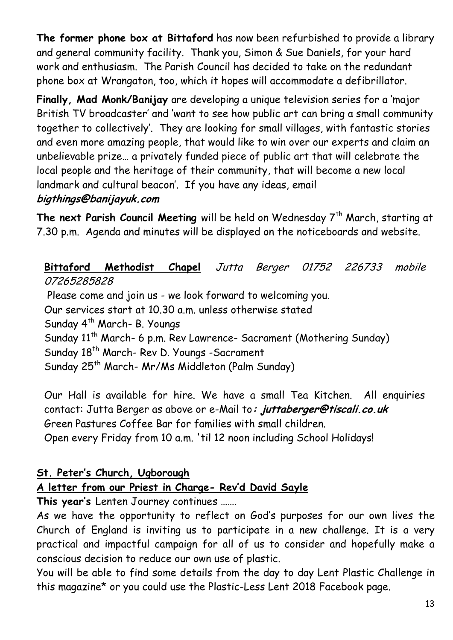**The former phone box at Bittaford** has now been refurbished to provide a library and general community facility. Thank you, Simon & Sue Daniels, for your hard work and enthusiasm. The Parish Council has decided to take on the redundant phone box at Wrangaton, too, which it hopes will accommodate a defibrillator.

**Finally, Mad Monk/Banijay** are developing a unique television series for a 'major British TV broadcaster' and 'want to see how public art can bring a small community together to collectively'. They are looking for small villages, with fantastic stories and even more amazing people, that would like to win over our experts and claim an unbelievable prize… a privately funded piece of public art that will celebrate the local people and the heritage of their community, that will become a new local landmark and cultural beacon'. If you have any ideas, email **bigthings@banijayuk.com**

**The next Parish Council Meeting** will be held on Wednesday 7th March, starting at 7.30 p.m. Agenda and minutes will be displayed on the noticeboards and website.

# **Bittaford Methodist Chapel** Jutta Berger 01752 226733 mobile 07265285828

Please come and join us - we look forward to welcoming you. Our services start at 10.30 a.m. unless otherwise stated Sunday 4<sup>th</sup> March- B. Youngs Sunday 11<sup>th</sup> March- 6 p.m. Rev Lawrence- Sacrament (Mothering Sunday) Sunday 18<sup>th</sup> March- Rev D. Youngs -Sacrament Sunday 25<sup>th</sup> March- Mr/Ms Middleton (Palm Sunday)

Our Hall is available for hire. We have a small Tea Kitchen. All enquiries contact: Jutta Berger as above or e-Mail to**: [juttaberger@tiscali.co.uk](mailto:juttaberger@tiscali.co.uk)** Green Pastures Coffee Bar for families with small children. Open every Friday from 10 a.m. 'til 12 noon including School Holidays!

# **St. Peter's Church, Ugborough**

# **A letter from our Priest in Charge- Rev'd David Sayle**

**This year's** Lenten Journey continues …….

As we have the opportunity to reflect on God's purposes for our own lives the Church of England is inviting us to participate in a new challenge. It is a very practical and impactful campaign for all of us to consider and hopefully make a conscious decision to reduce our own use of plastic.

You will be able to find some details from the day to day Lent Plastic Challenge in this magazine\* or you could use the Plastic-Less Lent 2018 Facebook page.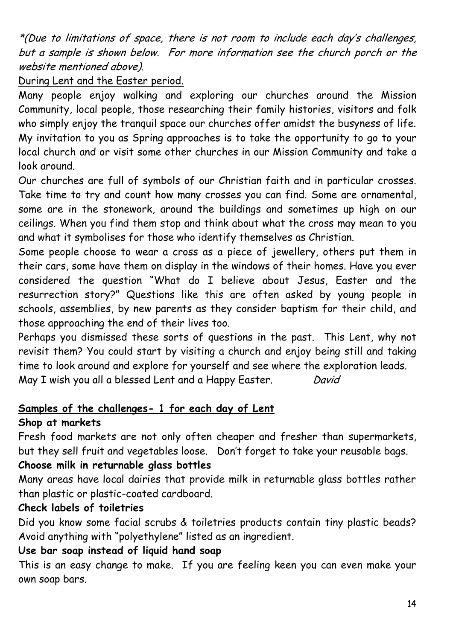\*(Due to limitations of space, there is not room to include each day's challenges, but <sup>a</sup> sample is shown below. For more information see the church porch or the website mentioned above).

### During Lent and the Easter period.

Many people enjoy walking and exploring our churches around the Mission Community, local people, those researching their family histories, visitors and folk who simply enjoy the tranquil space our churches offer amidst the busyness of life. My invitation to you as Spring approaches is to take the opportunity to go to your local church and or visit some other churches in our Mission Community and take a look around.

Our churches are full of symbols of our Christian faith and in particular crosses. Take time to try and count how many crosses you can find. Some are ornamental, some are in the stonework, around the buildings and sometimes up high on our ceilings. When you find them stop and think about what the cross may mean to you and what it symbolises for those who identify themselves as Christian.

Some people choose to wear a cross as a piece of jewellery, others put them in their cars, some have them on display in the windows of their homes. Have you ever considered the question "What do I believe about Jesus, Easter and the resurrection story?" Questions like this are often asked by young people in schools, assemblies, by new parents as they consider baptism for their child, and those approaching the end of their lives too.

Perhaps you dismissed these sorts of questions in the past. This Lent, why not revisit them? You could start by visiting a church and enjoy being still and taking time to look around and explore for yourself and see where the exploration leads. May I wish you all a blessed Lent and a Happy Easter. David

### **Samples of the challenges- 1 for each day of Lent Shop at markets**

Fresh food markets are not only often cheaper and fresher than supermarkets, but they sell fruit and vegetables loose. Don't forget to take your reusable bags.

### **Choose milk in returnable glass bottles**

Many areas have local dairies that provide milk in returnable glass bottles rather than plastic or plastic-coated cardboard.

# **Check labels of toiletries**

Did you know some facial scrubs & toiletries products contain tiny plastic beads? Avoid anything with "polyethylene" listed as an ingredient.

# **Use bar soap instead of liquid hand soap**

This is an easy change to make. If you are feeling keen you can even make your own soap bars.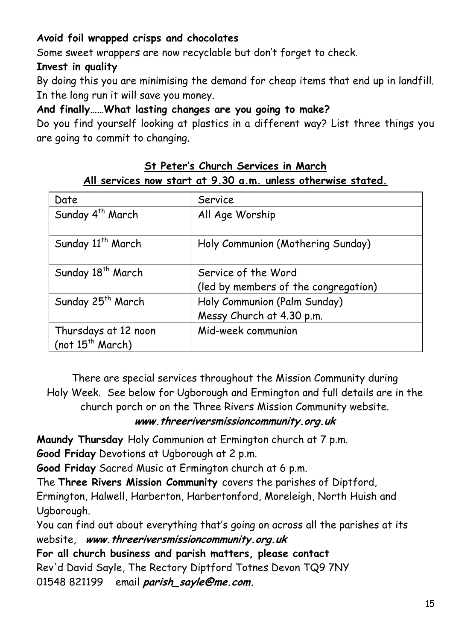# **Avoid foil wrapped crisps and chocolates**

Some sweet wrappers are now recyclable but don't forget to check.

### **Invest in quality**

By doing this you are minimising the demand for cheap items that end up in landfill. In the long run it will save you money.

### **And finally……What lasting changes are you going to make?**

Do you find yourself looking at plastics in a different way? List three things you are going to commit to changing.

### **St Peter's Church Services in March All services now start at 9.30 a.m. unless otherwise stated.**

| Date                          | Service                              |
|-------------------------------|--------------------------------------|
| Sunday 4 <sup>th</sup> March  | All Age Worship                      |
| Sunday 11 <sup>th</sup> March | Holy Communion (Mothering Sunday)    |
| Sunday 18 <sup>th</sup> March | Service of the Word                  |
|                               | (led by members of the congregation) |
| Sunday 25 <sup>th</sup> March | Holy Communion (Palm Sunday)         |
|                               | Messy Church at 4.30 p.m.            |
| Thursdays at 12 noon          | Mid-week communion                   |
| (not $15^{th}$ March)         |                                      |

There are special services throughout the Mission Community during Holy Week. See below for Ugborough and Ermington and full details are in the church porch or on the Three Rivers Mission Community website.

### **[www.threeriversmissioncommunity.org.uk](http://www.threeriversmissioncommunity.org.uk/)**

**Maundy Thursday** Holy Communion at Ermington church at 7 p.m.

**Good Friday** Devotions at Ugborough at 2 p.m.

**Good Friday** Sacred Music at Ermington church at 6 p.m.

The **Three Rivers Mission Community** covers the parishes of Diptford, Ermington, Halwell, Harberton, Harbertonford, Moreleigh, North Huish and Ugborough.

You can find out about everything that's going on across all the parishes at its website, **www.threeriversmissioncommunity.org.uk**

**For all church business and parish matters, please contact** Rev'd David Sayle, The Rectory Diptford Totnes Devon TQ9 7NY 01548 821199 email **[parish\\_sayle@me.com.](mailto:parish_sayle@me.com)**